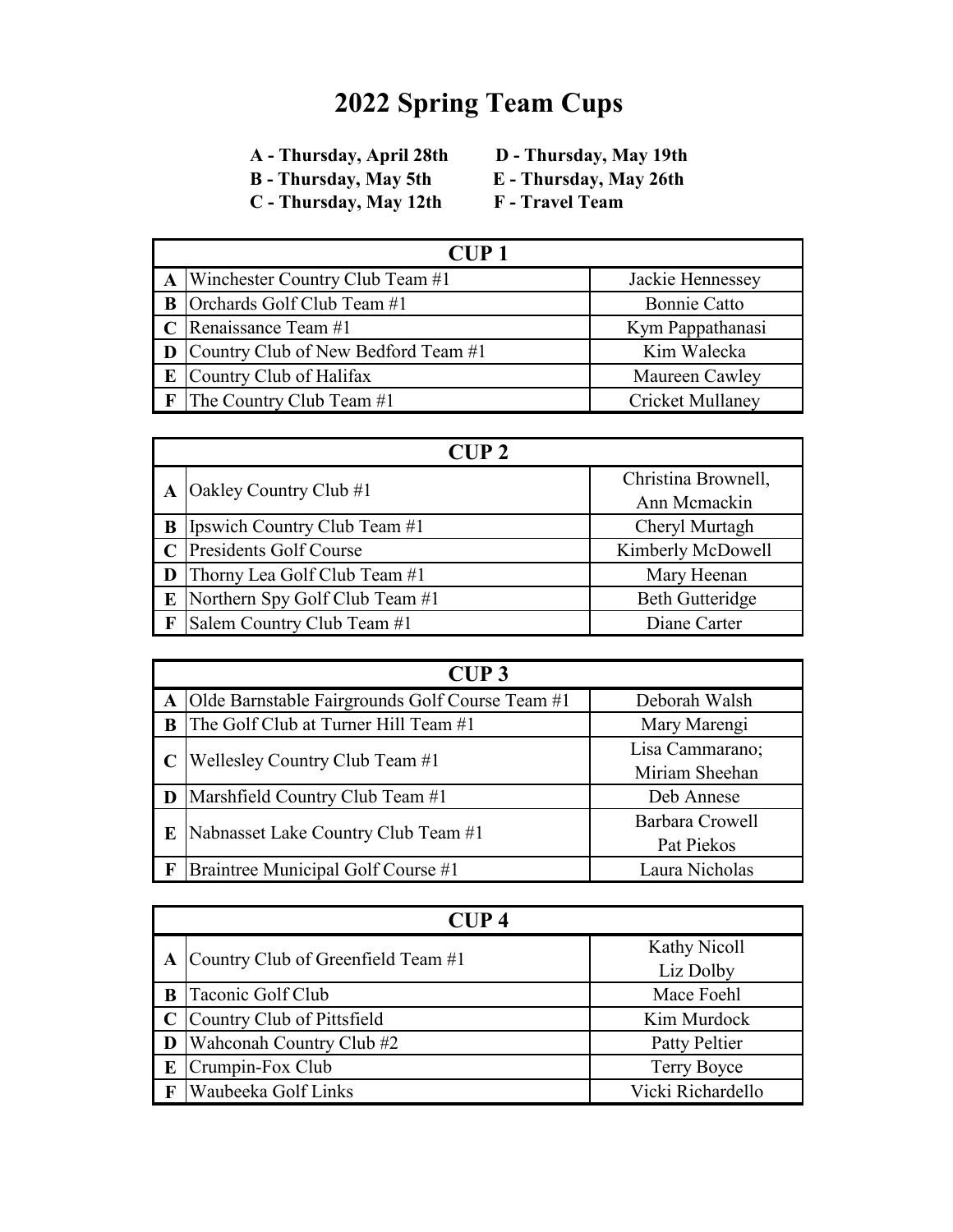- 
- **C** Thursday, May 12th
- **B** Thursday, May 5th **E** Thursday, May 26th<br> **C** Thursday, May 12th **F** Travel Team
	-

|   | CUP1                                         |                         |  |
|---|----------------------------------------------|-------------------------|--|
|   | $\mathbf{A}$ Winchester Country Club Team #1 | Jackie Hennessey        |  |
| B | Orchards Golf Club Team #1                   | <b>Bonnie Catto</b>     |  |
|   | $\mid$ C Renaissance Team #1                 | Kym Pappathanasi        |  |
|   | Country Club of New Bedford Team #1          | Kim Walecka             |  |
|   | Country Club of Halifax                      | Maureen Cawley          |  |
|   | The Country Club Team #1                     | <b>Cricket Mullaney</b> |  |

|              | $C \cup P$ 2                        |                        |  |
|--------------|-------------------------------------|------------------------|--|
|              | Oakley Country Club #1              | Christina Brownell,    |  |
|              |                                     | Ann Memackin           |  |
| $\mathbf{B}$ | <b>Ipswich Country Club Team #1</b> | Cheryl Murtagh         |  |
|              | <b>Presidents Golf Course</b>       | Kimberly McDowell      |  |
|              | Thorny Lea Golf Club Team #1        | Mary Heenan            |  |
| E            | Northern Spy Golf Club Team #1      | <b>Beth Gutteridge</b> |  |
|              | Salem Country Club Team #1          | Diane Carter           |  |

|   | CUP3                                              |                                   |  |  |
|---|---------------------------------------------------|-----------------------------------|--|--|
|   | A Olde Barnstable Fairgrounds Golf Course Team #1 | Deborah Walsh                     |  |  |
| B | The Golf Club at Turner Hill Team #1              | Mary Marengi                      |  |  |
|   | Wellesley Country Club Team #1                    | Lisa Cammarano;<br>Miriam Sheehan |  |  |
|   | <b>D</b> Marshfield Country Club Team #1          | Deb Annese                        |  |  |
| E | Nabnasset Lake Country Club Team #1               | Barbara Crowell<br>Pat Piekos     |  |  |
|   | Braintree Municipal Golf Course #1                | Laura Nicholas                    |  |  |

|   | CUP 4                              |                           |  |
|---|------------------------------------|---------------------------|--|
|   | Country Club of Greenfield Team #1 | Kathy Nicoll<br>Liz Dolby |  |
| B | Taconic Golf Club                  | Mace Foehl                |  |
|   | Country Club of Pittsfield         | Kim Murdock               |  |
|   | Wahconah Country Club #2           | Patty Peltier             |  |
| E | Crumpin-Fox Club                   | Terry Boyce               |  |
|   | Waubeeka Golf Links                | Vicki Richardello         |  |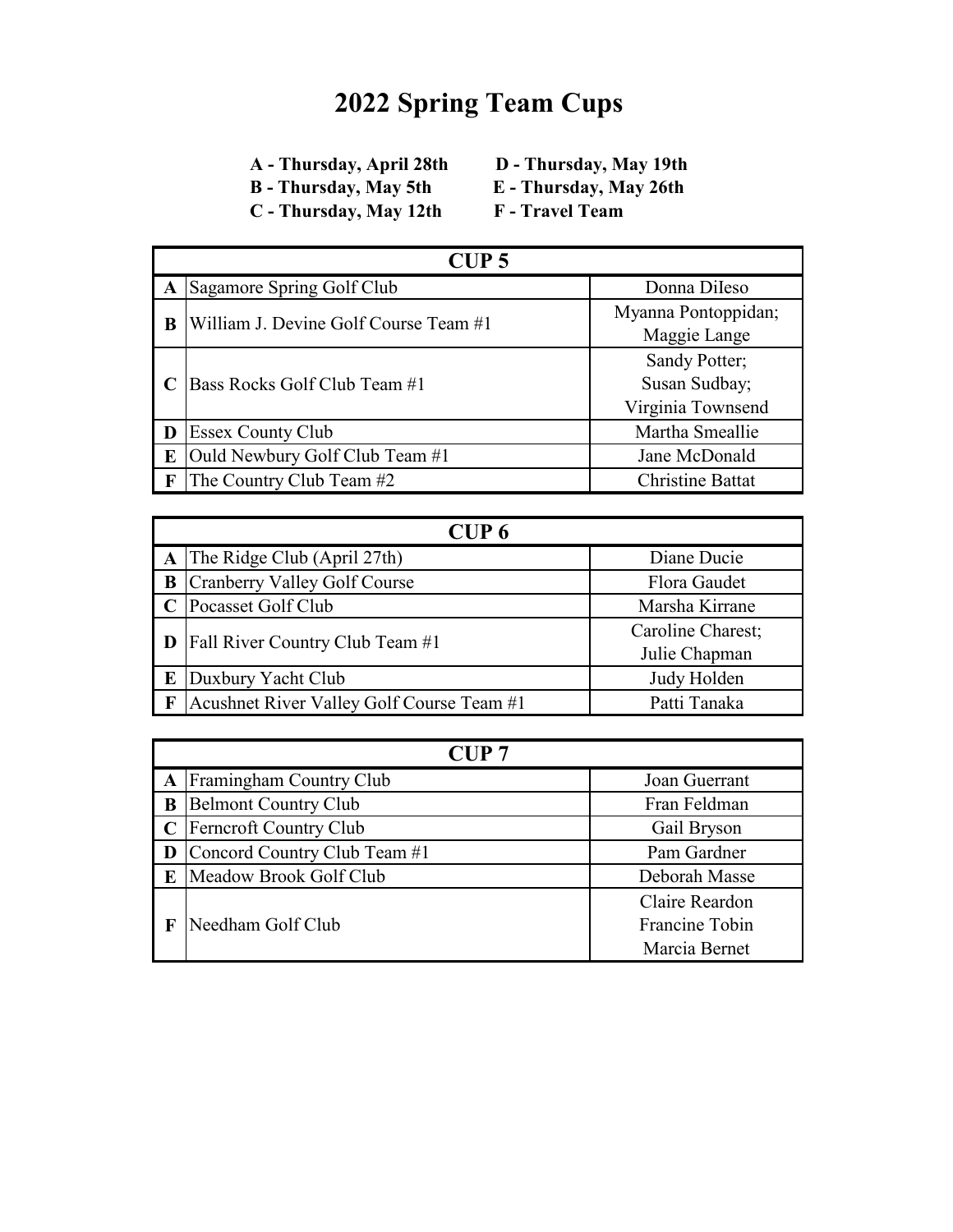- 
- **B** Thursday, May 5th **E** Thursday, May 12th **E** Travel Team **C** - Thursday, May 12th
- **A Thursday, April 28th D Thursday, May 19th**
	-

| CUP <sub>5</sub> |                                       |                         |
|------------------|---------------------------------------|-------------------------|
|                  | Sagamore Spring Golf Club             | Donna Dileso            |
|                  | William J. Devine Golf Course Team #1 | Myanna Pontoppidan;     |
| B                |                                       | Maggie Lange            |
|                  | Bass Rocks Golf Club Team #1          | Sandy Potter;           |
|                  |                                       | Susan Sudbay;           |
|                  |                                       | Virginia Townsend       |
| D                | <b>Essex County Club</b>              | Martha Smeallie         |
| E                | Ould Newbury Golf Club Team #1        | Jane McDonald           |
| $\mathbf F$      | The Country Club Team #2              | <b>Christine Battat</b> |

| CUP <sub>6</sub> |                                           |                                    |
|------------------|-------------------------------------------|------------------------------------|
|                  | $\bf{A}$ The Ridge Club (April 27th)      | Diane Ducie                        |
|                  | <b>B</b> Cranberry Valley Golf Course     | Flora Gaudet                       |
|                  | Pocasset Golf Club                        | Marsha Kirrane                     |
|                  | <b>D</b> Fall River Country Club Team #1  | Caroline Charest;<br>Julie Chapman |
| E                | Duxbury Yacht Club                        | Judy Holden                        |
| $\mathbf{F}$     | Acushnet River Valley Golf Course Team #1 | Patti Tanaka                       |

|   | CUP <sub>7</sub>              |                |  |
|---|-------------------------------|----------------|--|
|   | A Framingham Country Club     | Joan Guerrant  |  |
| B | <b>Belmont Country Club</b>   | Fran Feldman   |  |
|   | <b>Ferncroft Country Club</b> | Gail Bryson    |  |
|   | Concord Country Club Team #1  | Pam Gardner    |  |
|   | Meadow Brook Golf Club        | Deborah Masse  |  |
|   |                               | Claire Reardon |  |
|   | Needham Golf Club             | Francine Tobin |  |
|   |                               | Marcia Bernet  |  |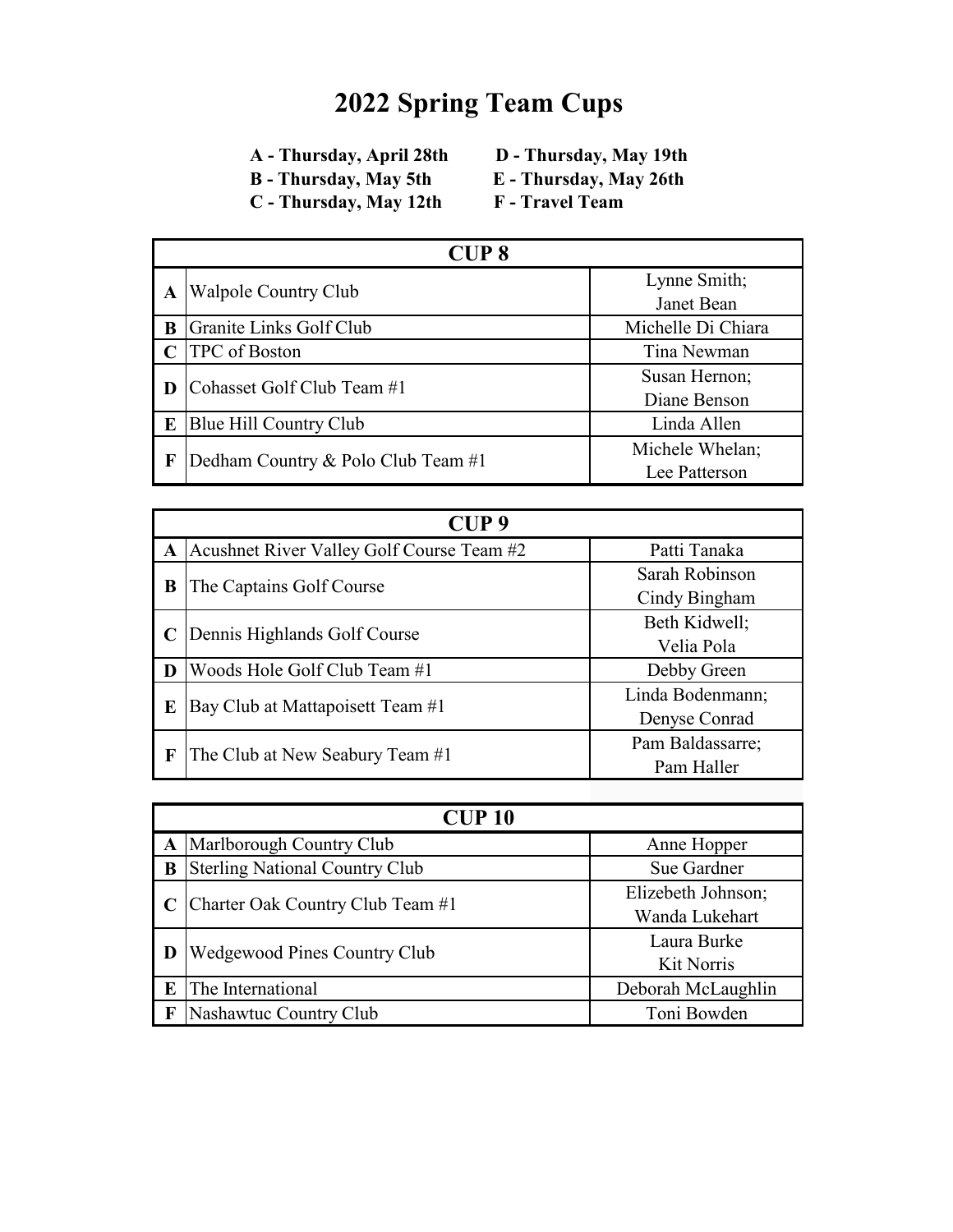- 
- **C** Thursday, May 12th
- **B** Thursday, May 5th **E** Thursday, May 26th<br> **C** Thursday, May 12th **F** Travel Team
	-

| <b>CUP8</b> |                                    |                    |
|-------------|------------------------------------|--------------------|
| A           | Walpole Country Club               | Lynne Smith;       |
|             |                                    | Janet Bean         |
| B           | Granite Links Golf Club            | Michelle Di Chiara |
|             | <b>TPC</b> of Boston               | Tina Newman        |
| D           |                                    | Susan Hernon;      |
|             | Cohasset Golf Club Team #1         | Diane Benson       |
| E           | Blue Hill Country Club             | Linda Allen        |
|             |                                    | Michele Whelan;    |
| F           | Dedham Country & Polo Club Team #1 | Lee Patterson      |

|             | CUP <sub>9</sub>                          |                                   |  |  |
|-------------|-------------------------------------------|-----------------------------------|--|--|
| A           | Acushnet River Valley Golf Course Team #2 | Patti Tanaka                      |  |  |
| B           | The Captains Golf Course                  | Sarah Robinson<br>Cindy Bingham   |  |  |
|             | Dennis Highlands Golf Course              | Beth Kidwell;<br>Velia Pola       |  |  |
| D           | Woods Hole Golf Club Team #1              | Debby Green                       |  |  |
| E           | Bay Club at Mattapoisett Team #1          | Linda Bodenmann;<br>Denyse Conrad |  |  |
| $\mathbf F$ | The Club at New Seabury Team #1           | Pam Baldassarre;<br>Pam Haller    |  |  |

|   | CUP10                                 |                    |  |
|---|---------------------------------------|--------------------|--|
|   | Marlborough Country Club              | Anne Hopper        |  |
| B | <b>Sterling National Country Club</b> | Sue Gardner        |  |
|   | Charter Oak Country Club Team #1      | Elizebeth Johnson; |  |
|   |                                       | Wanda Lukehart     |  |
|   | <b>Wedgewood Pines Country Club</b>   | Laura Burke        |  |
|   |                                       | <b>Kit Norris</b>  |  |
| E | The International                     | Deborah McLaughlin |  |
|   | Nashawtuc Country Club                | Toni Bowden        |  |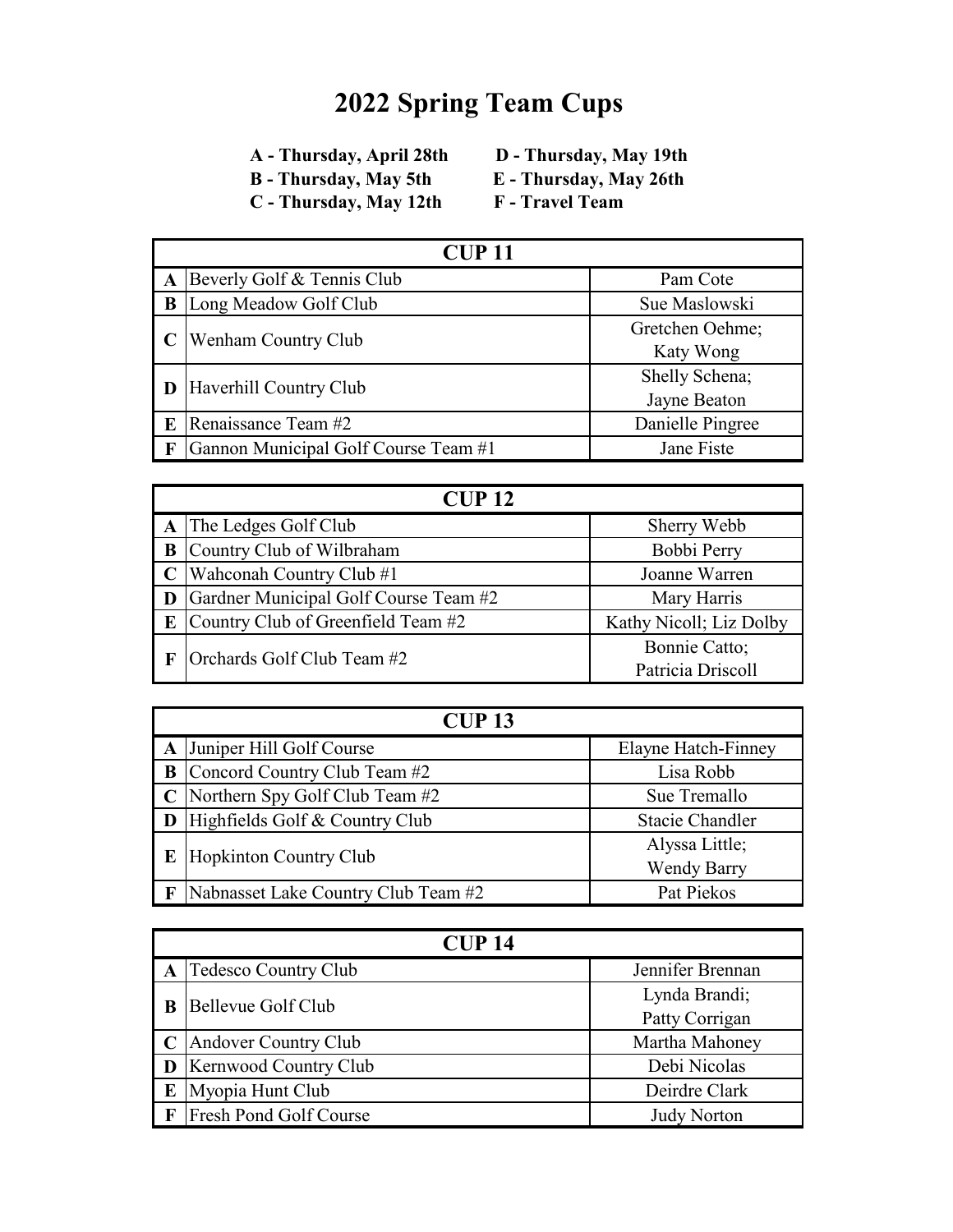- 
- **C** Thursday, May 12th
- **E** Thursday, May 26th<br>F Travel Team
- 

|   | CUP11                                |                                |  |
|---|--------------------------------------|--------------------------------|--|
| A | Beverly Golf & Tennis Club           | Pam Cote                       |  |
| B | Long Meadow Golf Club                | Sue Maslowski                  |  |
|   | Wenham Country Club                  | Gretchen Oehme;<br>Katy Wong   |  |
|   | <b>D</b> Haverhill Country Club      | Shelly Schena;<br>Jayne Beaton |  |
| E | Renaissance Team #2                  | Danielle Pingree               |  |
|   | Gannon Municipal Golf Course Team #1 | Jane Fiste                     |  |

|   | CUP12                                 |                         |  |
|---|---------------------------------------|-------------------------|--|
|   | A The Ledges Golf Club                | Sherry Webb             |  |
| B | Country Club of Wilbraham             | Bobbi Perry             |  |
|   | $\mathbf C$ Wahconah Country Club #1  | Joanne Warren           |  |
| D | Gardner Municipal Golf Course Team #2 | Mary Harris             |  |
| E | Country Club of Greenfield Team #2    | Kathy Nicoll; Liz Dolby |  |
|   | Orchards Golf Club Team #2            | Bonnie Catto;           |  |
|   |                                       | Patricia Driscoll       |  |

| CUP13 |                                            |                        |
|-------|--------------------------------------------|------------------------|
|       | A Juniper Hill Golf Course                 | Elayne Hatch-Finney    |
|       | <b>B</b> Concord Country Club Team #2      | Lisa Robb              |
|       | $\mathbb C$ Northern Spy Golf Club Team #2 | Sue Tremallo           |
|       | <b>D</b> Highfields Golf $\&$ Country Club | <b>Stacie Chandler</b> |
|       | Hopkinton Country Club                     | Alyssa Little;         |
| E     |                                            | <b>Wendy Barry</b>     |
|       | Nabnasset Lake Country Club Team #2        | Pat Piekos             |

| CUP14 |                               |                    |
|-------|-------------------------------|--------------------|
|       | A Tedesco Country Club        | Jennifer Brennan   |
| B     | Bellevue Golf Club            | Lynda Brandi;      |
|       |                               | Patty Corrigan     |
|       | Andover Country Club          | Martha Mahoney     |
| D     | <b>Kernwood Country Club</b>  | Debi Nicolas       |
| E     | Myopia Hunt Club              | Deirdre Clark      |
| F     | <b>Fresh Pond Golf Course</b> | <b>Judy Norton</b> |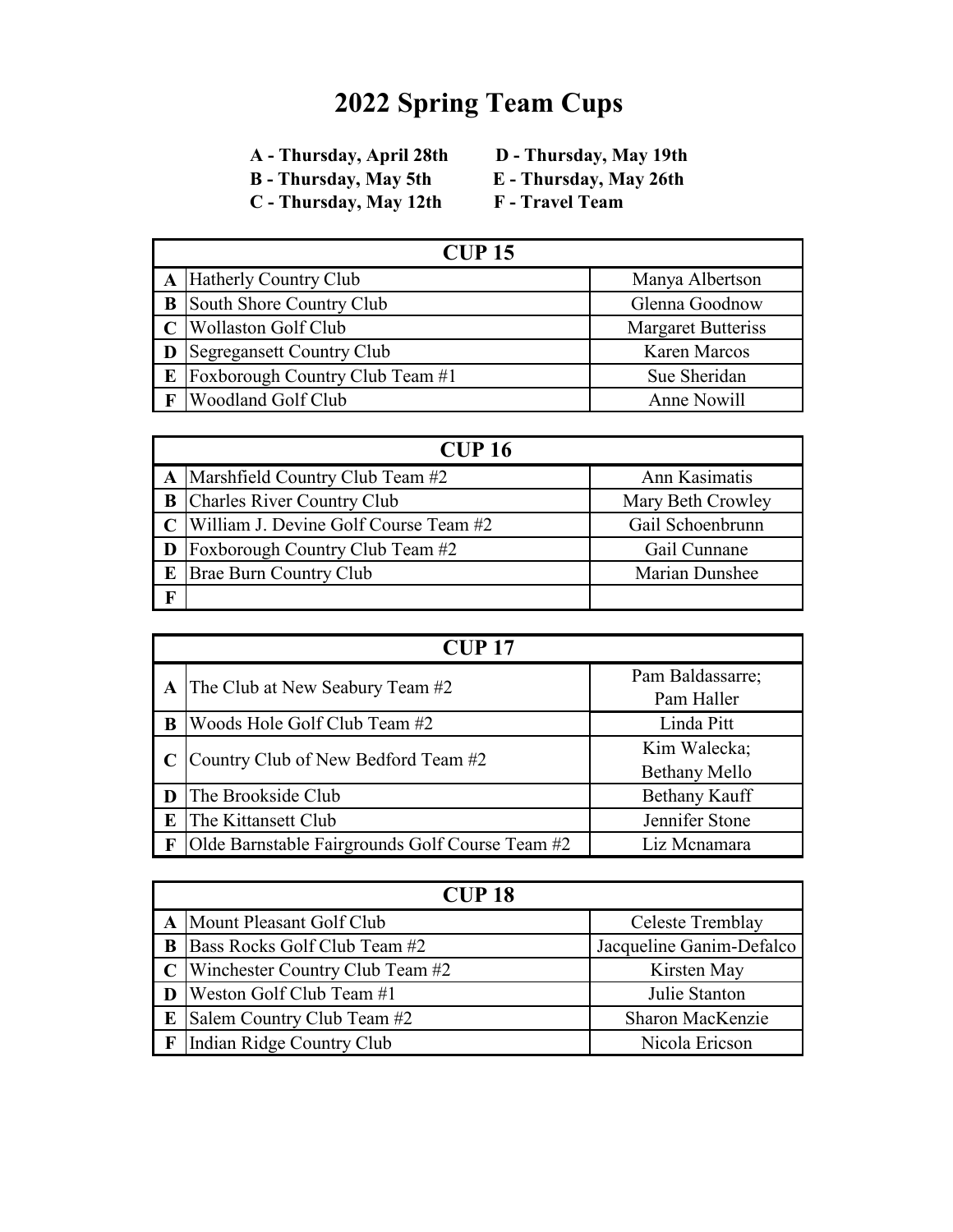- 
- **C** Thursday, May 12th
- **E** Thursday, May 26th<br>F Travel Team
- 

| $CUP$ 15 |                                 |                           |
|----------|---------------------------------|---------------------------|
|          | A Hatherly Country Club         | Manya Albertson           |
| B        | South Shore Country Club        | Glenna Goodnow            |
|          | <b>Wollaston Golf Club</b>      | <b>Margaret Butteriss</b> |
|          | Segregansett Country Club       | <b>Karen Marcos</b>       |
| E        | Foxborough Country Club Team #1 | Sue Sheridan              |
|          | <b>Woodland Golf Club</b>       | Anne Nowill               |

|              | <b>CUP 16</b>                                |                   |  |
|--------------|----------------------------------------------|-------------------|--|
|              | $\mathbf{A}$ Marshfield Country Club Team #2 | Ann Kasimatis     |  |
| B            | Charles River Country Club                   | Mary Beth Crowley |  |
|              | William J. Devine Golf Course Team #2        | Gail Schoenbrunn  |  |
|              | <b>Foxborough Country Club Team #2</b>       | Gail Cunnane      |  |
| $\mathbf{E}$ | <b>Brae Burn Country Club</b>                | Marian Dunshee    |  |
| $\mathbf{F}$ |                                              |                   |  |

|             | $CIIP$ 17                                       |                      |  |
|-------------|-------------------------------------------------|----------------------|--|
| A           | The Club at New Seabury Team #2                 | Pam Baldassarre;     |  |
|             |                                                 | Pam Haller           |  |
| $\mathbf B$ | Woods Hole Golf Club Team #2                    | Linda Pitt           |  |
|             | Country Club of New Bedford Team #2             | Kim Walecka;         |  |
|             |                                                 | Bethany Mello        |  |
|             | The Brookside Club                              | <b>Bethany Kauff</b> |  |
| $\bf E$     | The Kittansett Club                             | Jennifer Stone       |  |
|             | Olde Barnstable Fairgrounds Golf Course Team #2 | Liz Mcnamara         |  |

|   | <b>CUP 18</b>                               |                          |  |
|---|---------------------------------------------|--------------------------|--|
|   | A Mount Pleasant Golf Club                  | Celeste Tremblay         |  |
| B | Bass Rocks Golf Club Team #2                | Jacqueline Ganim-Defalco |  |
|   | $\mathbf C$ Winchester Country Club Team #2 | Kirsten May              |  |
|   | <b>Weston Golf Club Team #1</b>             | Julie Stanton            |  |
| E | Salem Country Club Team #2                  | Sharon MacKenzie         |  |
|   | Indian Ridge Country Club                   | Nicola Ericson           |  |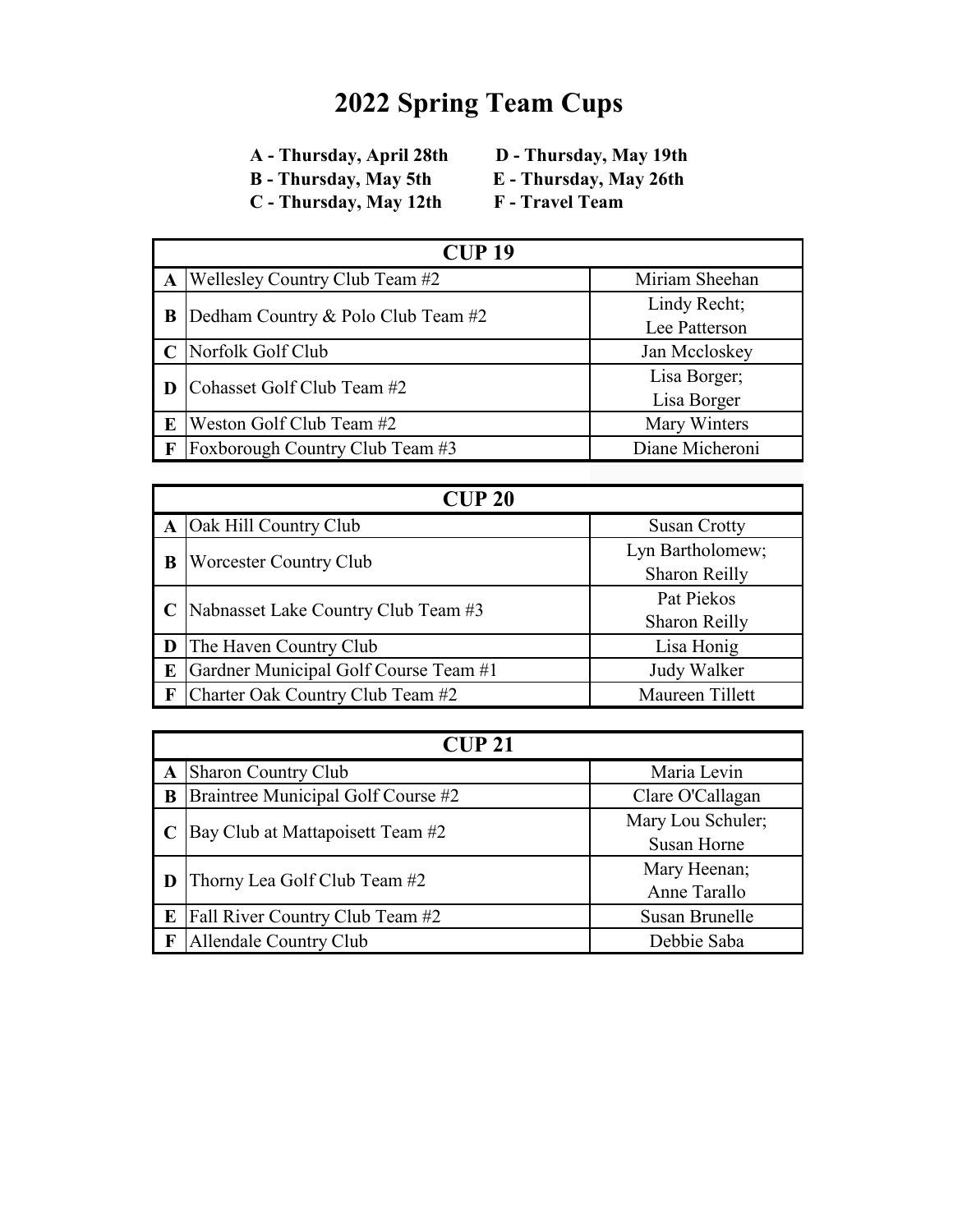- 
- **C** Thursday, May 12th
- **E** Thursday, May 26th<br>F Travel Team
- 

| <b>CUP 19</b> |                                    |                 |
|---------------|------------------------------------|-----------------|
| $\mathbf{A}$  | Wellesley Country Club Team #2     | Miriam Sheehan  |
| B             | Dedham Country & Polo Club Team #2 | Lindy Recht;    |
|               |                                    | Lee Patterson   |
|               | Norfolk Golf Club                  | Jan Mccloskey   |
|               | Cohasset Golf Club Team #2         | Lisa Borger;    |
|               |                                    | Lisa Borger     |
| $\mathbf{E}$  | Weston Golf Club Team #2           | Mary Winters    |
|               | Foxborough Country Club Team #3    | Diane Micheroni |

| CUP20 |                                       |                      |
|-------|---------------------------------------|----------------------|
|       | Oak Hill Country Club                 | <b>Susan Crotty</b>  |
|       | <b>Worcester Country Club</b>         | Lyn Bartholomew;     |
| B     |                                       | Sharon Reilly        |
|       | Nabnasset Lake Country Club Team #3   | Pat Piekos           |
|       |                                       | <b>Sharon Reilly</b> |
|       | The Haven Country Club                | Lisa Honig           |
| E     | Gardner Municipal Golf Course Team #1 | Judy Walker          |
|       | Charter Oak Country Club Team #2      | Maureen Tillett      |

| CUP21        |                                    |                                         |
|--------------|------------------------------------|-----------------------------------------|
| $\mathbf A$  | Sharon Country Club                | Maria Levin                             |
| B            | Braintree Municipal Golf Course #2 | Clare O'Callagan                        |
|              | Bay Club at Mattapoisett Team #2   | Mary Lou Schuler;<br><b>Susan Horne</b> |
|              | Thorny Lea Golf Club Team #2       | Mary Heenan;<br>Anne Tarallo            |
| $\bf E$      | Fall River Country Club Team #2    | Susan Brunelle                          |
| $\mathbf{F}$ | Allendale Country Club             | Debbie Saba                             |